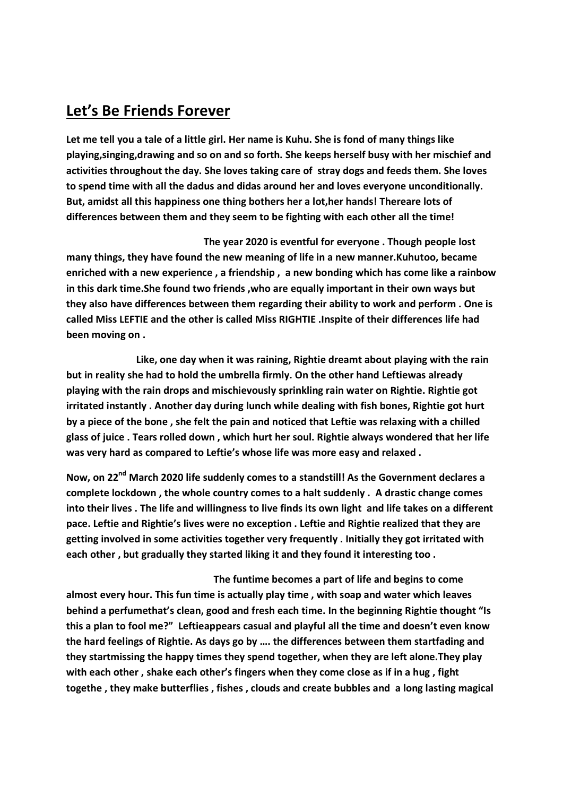## Let's Be Friends Forever

Let me tell you a tale of a little girl. Her name is Kuhu. She is fond of many things like playing,singing,drawing and so on and so forth. She keeps herself busy with her mischief and activities throughout the day. She loves taking care of stray dogs and feeds them. She loves to spend time with all the dadus and didas around her and loves everyone unconditionally. But, amidst all this happiness one thing bothers her a lot,her hands! Thereare lots of differences between them and they seem to be fighting with each other all the time!

 The year 2020 is eventful for everyone . Though people lost many things, they have found the new meaning of life in a new manner.Kuhutoo, became enriched with a new experience , a friendship , a new bonding which has come like a rainbow in this dark time.She found two friends ,who are equally important in their own ways but they also have differences between them regarding their ability to work and perform . One is called Miss LEFTIE and the other is called Miss RIGHTIE .Inspite of their differences life had been moving on .

 Like, one day when it was raining, Rightie dreamt about playing with the rain but in reality she had to hold the umbrella firmly. On the other hand Leftiewas already playing with the rain drops and mischievously sprinkling rain water on Rightie. Rightie got irritated instantly . Another day during lunch while dealing with fish bones, Rightie got hurt by a piece of the bone , she felt the pain and noticed that Leftie was relaxing with a chilled glass of juice . Tears rolled down , which hurt her soul. Rightie always wondered that her life was very hard as compared to Leftie's whose life was more easy and relaxed .

Now, on 22<sup>nd</sup> March 2020 life suddenly comes to a standstill! As the Government declares a complete lockdown , the whole country comes to a halt suddenly . A drastic change comes into their lives . The life and willingness to live finds its own light and life takes on a different pace. Leftie and Rightie's lives were no exception . Leftie and Rightie realized that they are getting involved in some activities together very frequently . Initially they got irritated with each other , but gradually they started liking it and they found it interesting too .

 The funtime becomes a part of life and begins to come almost every hour. This fun time is actually play time , with soap and water which leaves behind a perfumethat's clean, good and fresh each time. In the beginning Rightie thought "Is this a plan to fool me?" Leftieappears casual and playful all the time and doesn't even know the hard feelings of Rightie. As days go by …. the differences between them startfading and they startmissing the happy times they spend together, when they are left alone.They play with each other, shake each other's fingers when they come close as if in a hug, fight togethe , they make butterflies , fishes , clouds and create bubbles and a long lasting magical